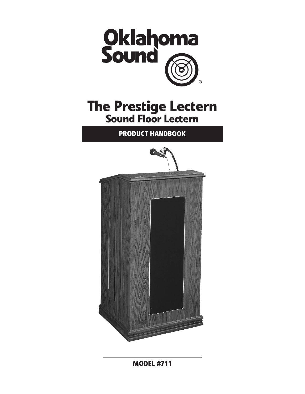

# **The Prestige Lectern Sound Floor Lectern**

**Product Handbook**



**Model #711**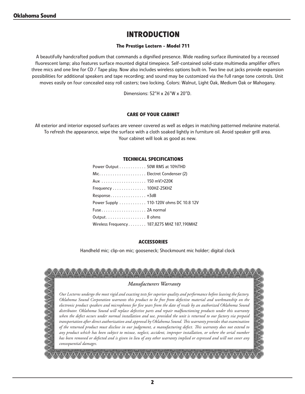## **Introduction**

#### **The Prestige Lectern - Model 711**

A beautifully handcrafted podium that commands a dignified presence. Wide reading surface illuminated by a recessed fluorescent lamp; also features surface mounted digital timepiece. Self-contained solid-state multimedia amplifier offers three mics and one line for CD / Tape play. Now also includes wireless options built-in. Two line out jacks provide expansion possibilities for additional speakers and tape recording; and sound may be customized via the full range tone controls. Unit moves easily on four concealed easy roll casters; two locking. Colors: Walnut, Light Oak, Medium Oak or Mahogany.

Dimensions: 52"H x 26"W x 20"D.

#### **CARE OF YOUR CABINET**

All exterior and interior exposed surfaces are veneer covered as well as edges in matching patterned melanine material. To refresh the appearance, wipe the surface with a cloth soaked lightly in furniture oil. Avoid speaker grill area. Your cabinet will look as good as new.

#### **Technical Specifications**

| Power Output 50W RMS at 10%THD             |  |
|--------------------------------------------|--|
|                                            |  |
| Aux  150 mV>220K                           |  |
| Frequency 100HZ-25KHZ                      |  |
| Response +3dB                              |  |
| Power Supply 110-120V ohms DC 10.8 12V     |  |
| Fuse 2A normal                             |  |
| Output 8 ohms                              |  |
| Wireless Frequency 187,8275 MHZ 187,190MHZ |  |

#### **Accessories**

Handheld mic; clip-on mic; gooseneck; Shockmount mic holder; digital clock

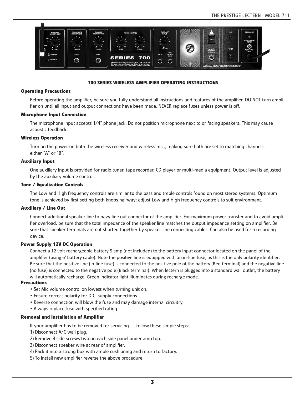

#### **700 SERIES wireless AMPLIFIER OPERATING INSTRUCTIONS**

#### **Operating Precautions**

Before operating the amplifier, be sure you fully understand all instructions and features of the amplifier. DO NOT turn amplifier on until all input and output connections have been made. NEVER replace fuses unless power is off.

#### **Microphone Input Connection**

The microphone input accepts 1/4" phone jack. Do not position microphone next to or facing speakers. This may cause acoustic feedback.

#### **Wireless Operation**

Turn on the power on both the wireless receiver and wireless mic., making sure both are set to matching channels, either "A" or "B".

#### **Auxiliary Input**

One auxiliary input is provided for radio tuner, tape recorder, CD player or multi-media equipment. Output level is adjusted by the auxiliary volume control.

#### **Tone / Equalization Controls**

The Low and High frequency controls are similar to the bass and treble controls found on most stereo systems. Optimum tone is achieved by first setting both knobs halfway; adjust Low and High frequency controls to suit environment.

#### **Auxiliary / Line Out**

Connect additional speaker line to navy line out connector of the amplifier. For maximum power transfer and to avoid amplifier overload, be sure that the total impedance of the speaker line matches the output impedance setting on amplifier. Be sure that speaker terminals are not shorted together by speaker line connecting cables. Can also be used for a recording device.

#### **Power Supply 12V DC Operation**

Connect a 12 volt rechargeable battery 5 amp (not included) to the battery input connector located on the panel of the amplifier (using 6' battery cable). Note the positive line is equipped with an in-line fuse, as this is the only polarity identifier. Be sure that the positive line (in-line fuse) is connected to the positive pole of the battery (Red terminal) and the negative line (no fuse) is connected to the negative pole (Black terminal). When lectern is plugged into a standard wall outlet, the battery will automatically recharge. Green indicator light illuminates during recharge mode.

#### **Precautions**

- Set Mic volume control on lowest when turning unit on.
- Ensure correct polarity for D.C. supply connections.
- Reverse connection will blow the fuse and may damage internal circuitry.
- Always replace fuse with specified rating.

#### **Removal and Installation of Amplifier**

If your amplifier has to be removed for servicing — follow these simple steps:

- 1) Disconnect A/C wall plug.
- 2) Remove 4 side screws two on each side panel under amp top.
- 3) Disconnect speaker wire at rear of amplifier.
- 4) Pack it into a strong box with ample cushioning and return to factory.
- 5) To install new amplifier reverse the above procedure.